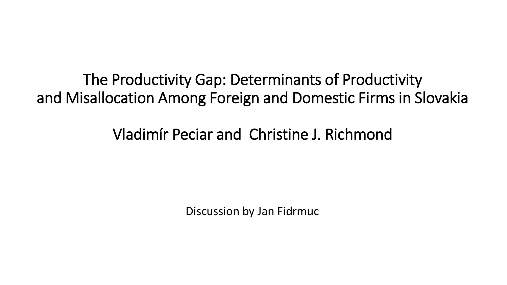The Productivity Gap: Determinants of Productivity and Misallocation Among Foreign and Domestic Firms in Slovakia

Vladimír Peciar and Christine J. Richmond

Discussion by Jan Fidrmuc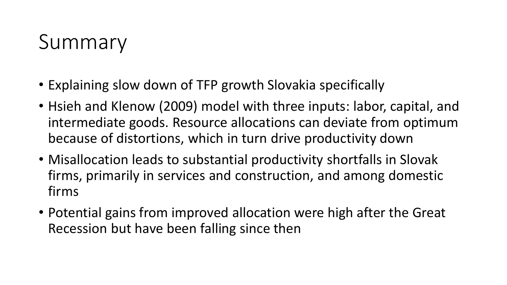## Summary

- Explaining slow down of TFP growth Slovakia specifically
- Hsieh and Klenow (2009) model with three inputs: labor, capital, and intermediate goods. Resource allocations can deviate from optimum because of distortions, which in turn drive productivity down
- Misallocation leads to substantial productivity shortfalls in Slovak firms, primarily in services and construction, and among domestic firms
- Potential gains from improved allocation were high after the Great Recession but have been falling since then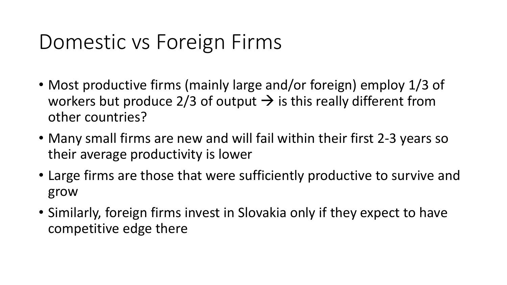## Domestic vs Foreign Firms

- Most productive firms (mainly large and/or foreign) employ 1/3 of workers but produce 2/3 of output  $\rightarrow$  is this really different from other countries?
- Many small firms are new and will fail within their first 2-3 years so their average productivity is lower
- Large firms are those that were sufficiently productive to survive and grow
- Similarly, foreign firms invest in Slovakia only if they expect to have competitive edge there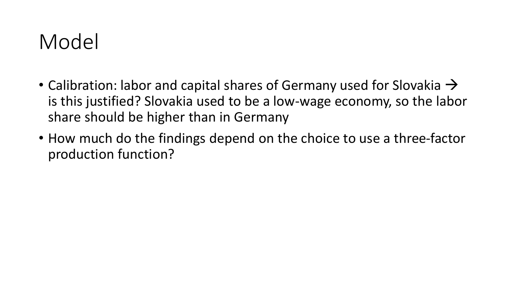## Model

- Calibration: labor and capital shares of Germany used for Slovakia  $\rightarrow$ is this justified? Slovakia used to be a low-wage economy, so the labor share should be higher than in Germany
- How much do the findings depend on the choice to use a three-factor production function?